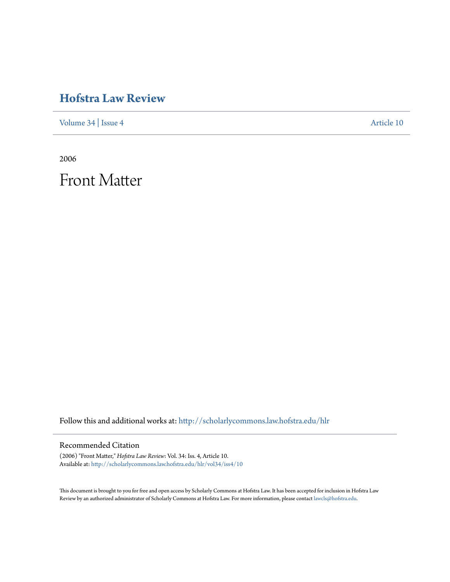## **[Hofstra Law Review](http://scholarlycommons.law.hofstra.edu/hlr?utm_source=scholarlycommons.law.hofstra.edu%2Fhlr%2Fvol34%2Fiss4%2F10&utm_medium=PDF&utm_campaign=PDFCoverPages)**

[Volume 34](http://scholarlycommons.law.hofstra.edu/hlr/vol34?utm_source=scholarlycommons.law.hofstra.edu%2Fhlr%2Fvol34%2Fiss4%2F10&utm_medium=PDF&utm_campaign=PDFCoverPages) | [Issue 4](http://scholarlycommons.law.hofstra.edu/hlr/vol34/iss4?utm_source=scholarlycommons.law.hofstra.edu%2Fhlr%2Fvol34%2Fiss4%2F10&utm_medium=PDF&utm_campaign=PDFCoverPages) [Article 10](http://scholarlycommons.law.hofstra.edu/hlr/vol34/iss4/10?utm_source=scholarlycommons.law.hofstra.edu%2Fhlr%2Fvol34%2Fiss4%2F10&utm_medium=PDF&utm_campaign=PDFCoverPages)

2006

Front Matter

Follow this and additional works at: [http://scholarlycommons.law.hofstra.edu/hlr](http://scholarlycommons.law.hofstra.edu/hlr?utm_source=scholarlycommons.law.hofstra.edu%2Fhlr%2Fvol34%2Fiss4%2F10&utm_medium=PDF&utm_campaign=PDFCoverPages)

### Recommended Citation

(2006) "Front Matter," *Hofstra Law Review*: Vol. 34: Iss. 4, Article 10. Available at: [http://scholarlycommons.law.hofstra.edu/hlr/vol34/iss4/10](http://scholarlycommons.law.hofstra.edu/hlr/vol34/iss4/10?utm_source=scholarlycommons.law.hofstra.edu%2Fhlr%2Fvol34%2Fiss4%2F10&utm_medium=PDF&utm_campaign=PDFCoverPages)

This document is brought to you for free and open access by Scholarly Commons at Hofstra Law. It has been accepted for inclusion in Hofstra Law Review by an authorized administrator of Scholarly Commons at Hofstra Law. For more information, please contact [lawcls@hofstra.edu](mailto:lawcls@hofstra.edu).